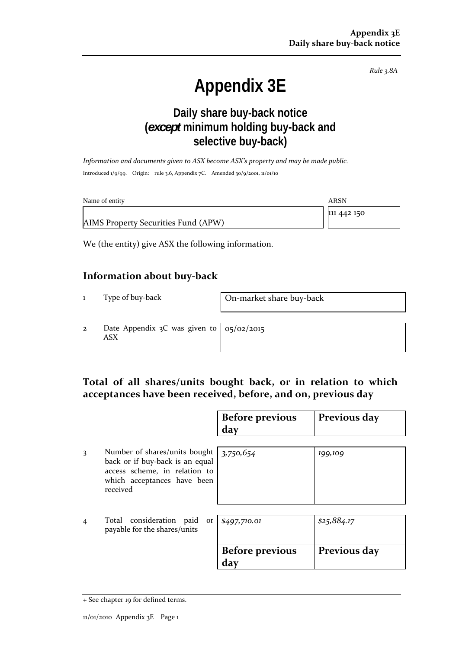*Rule 3.8A*

# **Appendix 3E**

## **Daily share buy-back notice (***except* **minimum holding buy-back and selective buy-back)**

*Information and documents given to ASX become ASX's property and may be made public.* Introduced 1/9/99. Origin: rule 3.6, Appendix 7C. Amended 30/9/2001, 11/01/10

| Name of entity                      | ARSN        |
|-------------------------------------|-------------|
|                                     | 111 442 150 |
| AIMS Property Securities Fund (APW) |             |

We (the entity) give ASX the following information.

#### **Information about buy‐back**

1 Type of buy-back **On-market share buy-back** 

2 Date Appendix 3C was given to ASX

05/02/2015

### **Total of all shares/units bought back, or in relation to which acceptances have been received, before, and on, previous day**

|   |                                                                                                                                              | <b>Before previous</b><br>day | Previous day |
|---|----------------------------------------------------------------------------------------------------------------------------------------------|-------------------------------|--------------|
| 3 | Number of shares/units bought<br>back or if buy-back is an equal<br>access scheme, in relation to<br>which acceptances have been<br>received | 3,750,654                     | 199,109      |
| 4 | Total consideration paid or<br>payable for the shares/units                                                                                  | \$497,710.01                  | \$25,884.17  |
|   |                                                                                                                                              | <b>Before previous</b><br>day | Previous day |

<sup>+</sup> See chapter 19 for defined terms.